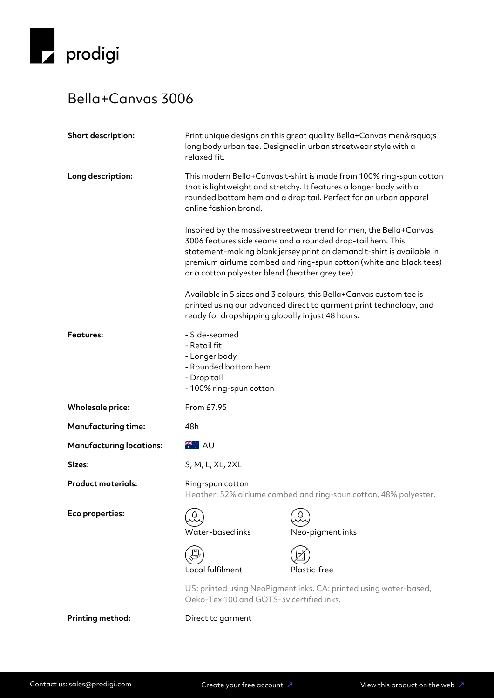

## Bella+Canvas 3006

| Short description:              | Print unique designs on this great quality Bella+Canvas men's<br>long body urban tee. Designed in urban streetwear style with a<br>relaxed fit.                                                                                                                                                                                    |                  |  |
|---------------------------------|------------------------------------------------------------------------------------------------------------------------------------------------------------------------------------------------------------------------------------------------------------------------------------------------------------------------------------|------------------|--|
| Long description:               | This modern Bella+Canvas t-shirt is made from 100% ring-spun cotton<br>that is lightweight and stretchy. It features a longer body with a<br>rounded bottom hem and a drop tail. Perfect for an urban apparel<br>online fashion brand.                                                                                             |                  |  |
|                                 | Inspired by the massive streetwear trend for men, the Bella+Canvas<br>3006 features side seams and a rounded drop-tail hem. This<br>statement-making blank jersey print on demand t-shirt is available in<br>premium airlume combed and ring-spun cotton (white and black tees)<br>or a cotton polyester blend (heather grey tee). |                  |  |
|                                 | Available in 5 sizes and 3 colours, this Bella+Canvas custom tee is<br>printed using our advanced direct to garment print technology, and<br>ready for dropshipping globally in just 48 hours.                                                                                                                                     |                  |  |
| <b>Features:</b>                | - Side-seamed<br>- Retail fit<br>- Longer body<br>- Rounded bottom hem<br>- Drop tail<br>- 100% ring-spun cotton                                                                                                                                                                                                                   |                  |  |
| <b>Wholesale price:</b>         | From £7.95                                                                                                                                                                                                                                                                                                                         |                  |  |
| <b>Manufacturing time:</b>      | 48h                                                                                                                                                                                                                                                                                                                                |                  |  |
| <b>Manufacturing locations:</b> | <b>XXXXXXXX</b>                                                                                                                                                                                                                                                                                                                    |                  |  |
| Sizes:                          | S, M, L, XL, 2XL                                                                                                                                                                                                                                                                                                                   |                  |  |
| <b>Product materials:</b>       | Ring-spun cotton<br>Heather: 52% airlume combed and ring-spun cotton, 48% polyester.                                                                                                                                                                                                                                               |                  |  |
| Eco properties:                 | Water-based inks                                                                                                                                                                                                                                                                                                                   | Neo-pigment inks |  |
|                                 | Local fulfilment                                                                                                                                                                                                                                                                                                                   | Plastic-free     |  |
|                                 | US: printed using NeoPigment inks. CA: printed using water-based,<br>Oeko-Tex 100 and GOTS-3v certified inks.                                                                                                                                                                                                                      |                  |  |

**Printing method:** Direct to garment